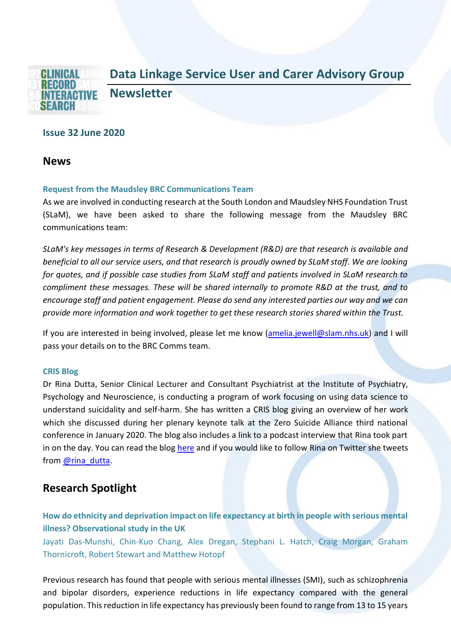

## **Issue 32 June 2020**

**News**

#### **Request from the Maudsley BRC Communications Team**

As we are involved in conducting research at the South London and Maudsley NHS Foundation Trust (SLaM), we have been asked to share the following message from the Maudsley BRC communications team:

*SLaM's key messages in terms of Research & Development (R&D) are that research is available and beneficial to all our service users, and that research is proudly owned by SLaM staff. We are looking for quotes, and if possible case studies from SLaM staff and patients involved in SLaM research to compliment these messages. These will be shared internally to promote R&D at the trust, and to encourage staff and patient engagement. Please do send any interested parties our way and we can provide more information and work together to get these research stories shared within the Trust.*

If you are interested in being involved, please let me know [\(amelia.jewell@slam.nhs.uk\)](mailto:amelia.jewell@slam.nhs.uk) and I will pass your details on to the BRC Comms team.

#### **CRIS Blog**

Dr Rina Dutta, Senior Clinical Lecturer and Consultant Psychiatrist at the Institute of Psychiatry, Psychology and Neuroscience, is conducting a program of work focusing on using data science to understand suicidality and self-harm. She has written a CRIS blog giving an overview of her work which she discussed during her plenary keynote talk at the Zero Suicide Alliance third national conference in January 2020. The blog also includes a link to a podcast interview that Rina took part in on the day. You can read the blog [here](https://www.maudsleybrc.nihr.ac.uk/posts/2020/february/cris-blog-artificial-intelligence-and-data-in-suicide-prevention/) and if you would like to follow Rina on Twitter she tweets from [@rina\\_dutta.](https://twitter.com/rina_dutta)

# **Research Spotlight**

**How do ethnicity and deprivation impact on life expectancy at birth in people with serious mental illness? Observational study in the UK**

Jayati Das-Munshi, Chin-Kuo Chang, Alex Dregan, Stephani L. Hatch, Craig Morgan, Graham Thornicroft, Robert Stewart and Matthew Hotopf

Previous research has found that people with serious mental illnesses (SMI), such as schizophrenia and bipolar disorders, experience reductions in life expectancy compared with the general population. This reduction in life expectancy has previously been found to range from 13 to 15 years